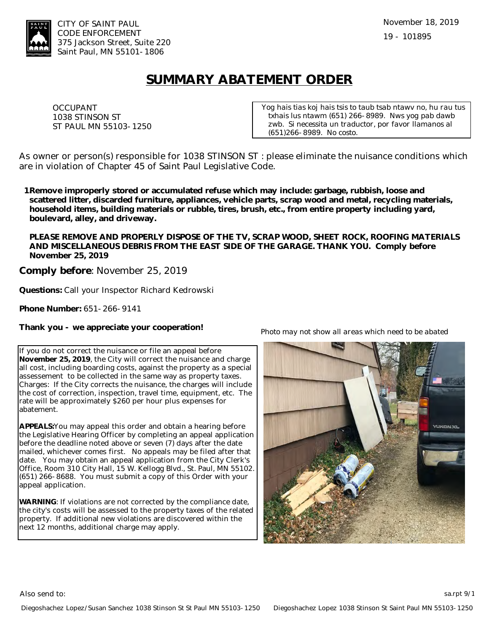

## **SUMMARY ABATEMENT ORDER**

OCCUPANT 1038 STINSON ST ST PAUL MN 55103-1250 *Yog hais tias koj hais tsis to taub tsab ntawv no, hu rau tus txhais lus ntawm (651) 266-8989. Nws yog pab dawb zwb. Si necessita un traductor, por favor llamanos al (651)266-8989. No costo.*

As owner or person(s) responsible for 1038 STINSON ST : please eliminate the nuisance conditions which are in violation of Chapter 45 of Saint Paul Legislative Code.

**Remove improperly stored or accumulated refuse which may include: garbage, rubbish, loose and 1.scattered litter, discarded furniture, appliances, vehicle parts, scrap wood and metal, recycling materials, household items, building materials or rubble, tires, brush, etc., from entire property including yard, boulevard, alley, and driveway.** 

**PLEASE REMOVE AND PROPERLY DISPOSE OF THE TV, SCRAP WOOD, SHEET ROCK, ROOFING MATERIALS AND MISCELLANEOUS DEBRIS FROM THE EAST SIDE OF THE GARAGE. THANK YOU. Comply before November 25, 2019**

**Comply before**: November 25, 2019

**Questions:** Call your Inspector Richard Kedrowski

**Phone Number:** 651-266-9141

**Thank you - we appreciate your cooperation!**

If you do not correct the nuisance or file an appeal before **November 25, 2019**, the City will correct the nuisance and charge all cost, including boarding costs, against the property as a special assessement to be collected in the same way as property taxes. Charges: If the City corrects the nuisance, the charges will include the cost of correction, inspection, travel time, equipment, etc. The rate will be approximately \$260 per hour plus expenses for abatement.

**APPEALS:**You may appeal this order and obtain a hearing before the Legislative Hearing Officer by completing an appeal application before the deadline noted above or seven (7) days after the date mailed, whichever comes first. No appeals may be filed after that date. You may obtain an appeal application from the City Clerk's Office, Room 310 City Hall, 15 W. Kellogg Blvd., St. Paul, MN 55102. (651) 266-8688. You must submit a copy of this Order with your appeal application.

**WARNING**: If violations are not corrected by the compliance date, the city's costs will be assessed to the property taxes of the related property. If additional new violations are discovered within the next 12 months, additional charge may apply.



*Photo may not show all areas which need to be abated*

Also send to: sa.rpt 9/15 and to: sa.rpt 9/15 and to: sa.rpt 9/15 and to: sa.rpt 9/15 and to: sa.rpt 9/15 and to: sa.rpt 9/15 and to: sa.rpt 9/15 and to: sa.rpt 9/15 and to: sa.rpt 9/15 and to: sa.rpt 9/15 and to: sa.rpt 9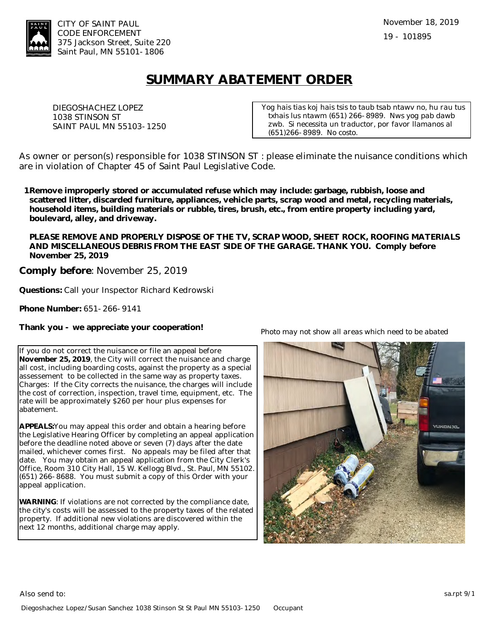

## **SUMMARY ABATEMENT ORDER**

DIEGOSHACHEZ LOPEZ 1038 STINSON ST SAINT PAUL MN 55103-1250 *Yog hais tias koj hais tsis to taub tsab ntawv no, hu rau tus txhais lus ntawm (651) 266-8989. Nws yog pab dawb zwb. Si necessita un traductor, por favor llamanos al (651)266-8989. No costo.*

As owner or person(s) responsible for 1038 STINSON ST : please eliminate the nuisance conditions which are in violation of Chapter 45 of Saint Paul Legislative Code.

**Remove improperly stored or accumulated refuse which may include: garbage, rubbish, loose and 1.scattered litter, discarded furniture, appliances, vehicle parts, scrap wood and metal, recycling materials, household items, building materials or rubble, tires, brush, etc., from entire property including yard, boulevard, alley, and driveway.** 

**PLEASE REMOVE AND PROPERLY DISPOSE OF THE TV, SCRAP WOOD, SHEET ROCK, ROOFING MATERIALS AND MISCELLANEOUS DEBRIS FROM THE EAST SIDE OF THE GARAGE. THANK YOU. Comply before November 25, 2019**

**Comply before**: November 25, 2019

**Questions:** Call your Inspector Richard Kedrowski

**Phone Number:** 651-266-9141

**Thank you - we appreciate your cooperation!**

If you do not correct the nuisance or file an appeal before **November 25, 2019**, the City will correct the nuisance and charge all cost, including boarding costs, against the property as a special assessement to be collected in the same way as property taxes. Charges: If the City corrects the nuisance, the charges will include the cost of correction, inspection, travel time, equipment, etc. The rate will be approximately \$260 per hour plus expenses for abatement.

**APPEALS:**You may appeal this order and obtain a hearing before the Legislative Hearing Officer by completing an appeal application before the deadline noted above or seven (7) days after the date mailed, whichever comes first. No appeals may be filed after that date. You may obtain an appeal application from the City Clerk's Office, Room 310 City Hall, 15 W. Kellogg Blvd., St. Paul, MN 55102. (651) 266-8688. You must submit a copy of this Order with your appeal application.

**WARNING**: If violations are not corrected by the compliance date, the city's costs will be assessed to the property taxes of the related property. If additional new violations are discovered within the next 12 months, additional charge may apply.